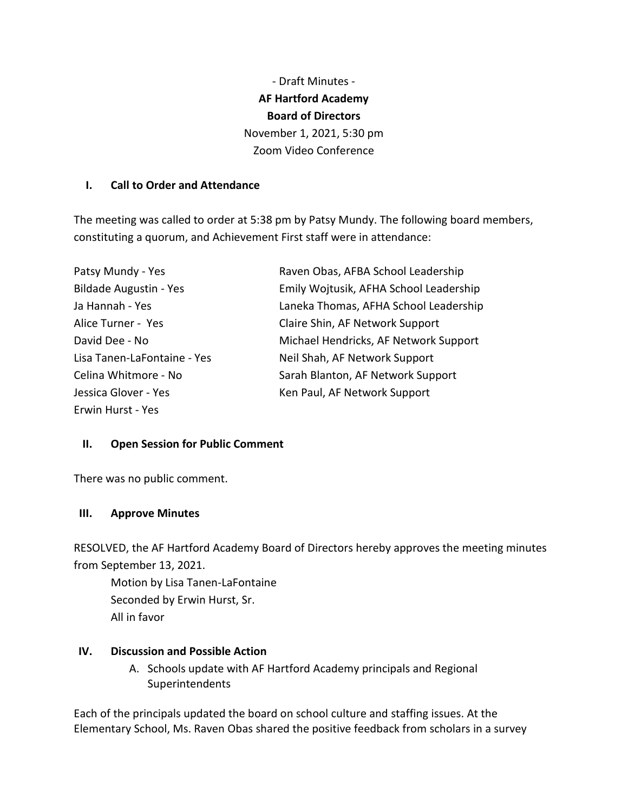- Draft Minutes - **AF Hartford Academy Board of Directors** November 1, 2021, 5:30 pm Zoom Video Conference

#### **I. Call to Order and Attendance**

The meeting was called to order at 5:38 pm by Patsy Mundy. The following board members, constituting a quorum, and Achievement First staff were in attendance:

| Patsy Mundy - Yes             | Raven Obas, AFBA School Leadership     |
|-------------------------------|----------------------------------------|
| <b>Bildade Augustin - Yes</b> | Emily Wojtusik, AFHA School Leadership |
| Ja Hannah - Yes               | Laneka Thomas, AFHA School Leadership  |
| Alice Turner - Yes            | Claire Shin, AF Network Support        |
| David Dee - No                | Michael Hendricks, AF Network Support  |
| Lisa Tanen-LaFontaine - Yes   | Neil Shah, AF Network Support          |
| Celina Whitmore - No          | Sarah Blanton, AF Network Support      |
| Jessica Glover - Yes          | Ken Paul, AF Network Support           |
| Erwin Hurst - Yes             |                                        |

### **II. Open Session for Public Comment**

There was no public comment.

#### **III. Approve Minutes**

RESOLVED, the AF Hartford Academy Board of Directors hereby approves the meeting minutes from September 13, 2021.

Motion by Lisa Tanen-LaFontaine Seconded by Erwin Hurst, Sr. All in favor

## **IV. Discussion and Possible Action**

A. Schools update with AF Hartford Academy principals and Regional **Superintendents** 

Each of the principals updated the board on school culture and staffing issues. At the Elementary School, Ms. Raven Obas shared the positive feedback from scholars in a survey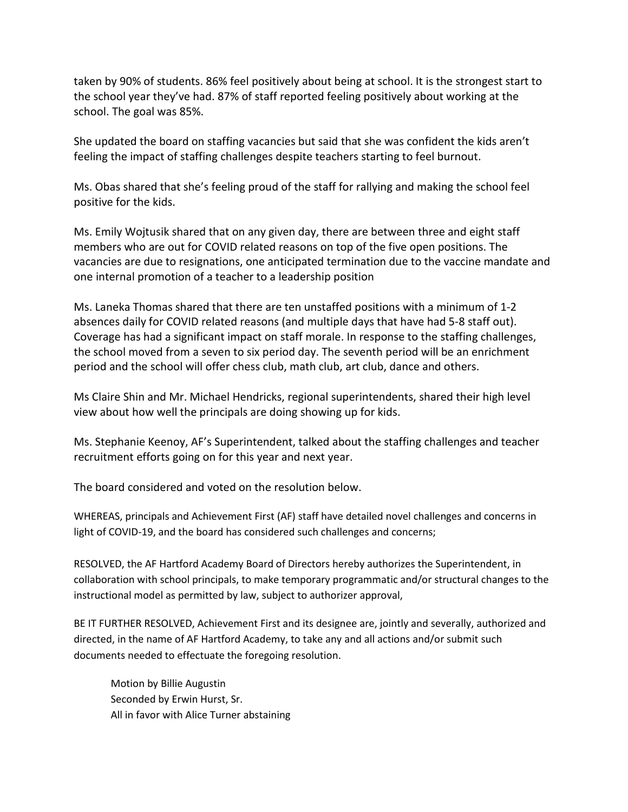taken by 90% of students. 86% feel positively about being at school. It is the strongest start to the school year they've had. 87% of staff reported feeling positively about working at the school. The goal was 85%.

She updated the board on staffing vacancies but said that she was confident the kids aren't feeling the impact of staffing challenges despite teachers starting to feel burnout.

Ms. Obas shared that she's feeling proud of the staff for rallying and making the school feel positive for the kids.

Ms. Emily Wojtusik shared that on any given day, there are between three and eight staff members who are out for COVID related reasons on top of the five open positions. The vacancies are due to resignations, one anticipated termination due to the vaccine mandate and one internal promotion of a teacher to a leadership position

Ms. Laneka Thomas shared that there are ten unstaffed positions with a minimum of 1-2 absences daily for COVID related reasons (and multiple days that have had 5-8 staff out). Coverage has had a significant impact on staff morale. In response to the staffing challenges, the school moved from a seven to six period day. The seventh period will be an enrichment period and the school will offer chess club, math club, art club, dance and others.

Ms Claire Shin and Mr. Michael Hendricks, regional superintendents, shared their high level view about how well the principals are doing showing up for kids.

Ms. Stephanie Keenoy, AF's Superintendent, talked about the staffing challenges and teacher recruitment efforts going on for this year and next year.

The board considered and voted on the resolution below.

WHEREAS, principals and Achievement First (AF) staff have detailed novel challenges and concerns in light of COVID-19, and the board has considered such challenges and concerns;

RESOLVED, the AF Hartford Academy Board of Directors hereby authorizes the Superintendent, in collaboration with school principals, to make temporary programmatic and/or structural changes to the instructional model as permitted by law, subject to authorizer approval,

BE IT FURTHER RESOLVED, Achievement First and its designee are, jointly and severally, authorized and directed, in the name of AF Hartford Academy, to take any and all actions and/or submit such documents needed to effectuate the foregoing resolution.

Motion by Billie Augustin Seconded by Erwin Hurst, Sr. All in favor with Alice Turner abstaining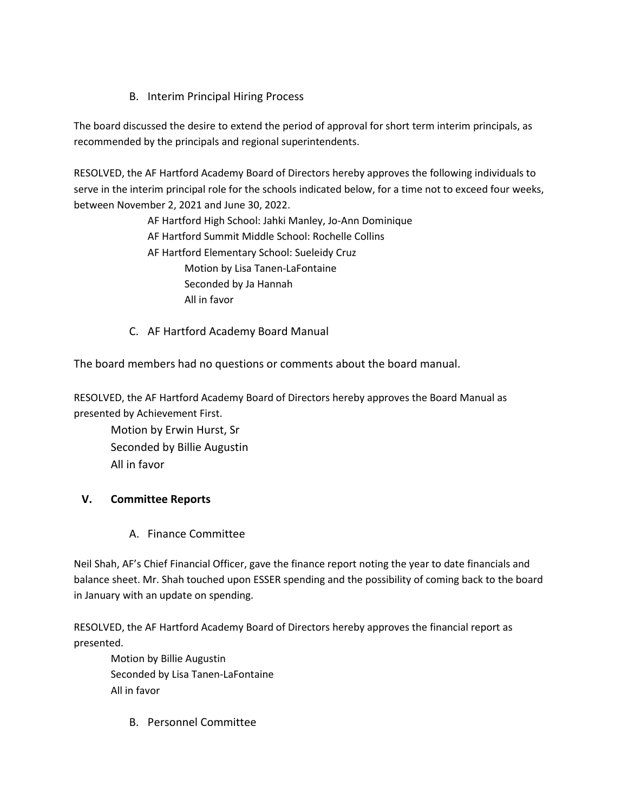# B. Interim Principal Hiring Process

The board discussed the desire to extend the period of approval for short term interim principals, as recommended by the principals and regional superintendents.

RESOLVED, the AF Hartford Academy Board of Directors hereby approves the following individuals to serve in the interim principal role for the schools indicated below, for a time not to exceed four weeks, between November 2, 2021 and June 30, 2022.

> AF Hartford High School: Jahki Manley, Jo-Ann Dominique AF Hartford Summit Middle School: Rochelle Collins AF Hartford Elementary School: Sueleidy Cruz Motion by Lisa Tanen-LaFontaine Seconded by Ja Hannah All in favor

C. AF Hartford Academy Board Manual

The board members had no questions or comments about the board manual.

RESOLVED, the AF Hartford Academy Board of Directors hereby approves the Board Manual as presented by Achievement First.

Motion by Erwin Hurst, Sr Seconded by Billie Augustin All in favor

# **V. Committee Reports**

A. Finance Committee

Neil Shah, AF's Chief Financial Officer, gave the finance report noting the year to date financials and balance sheet. Mr. Shah touched upon ESSER spending and the possibility of coming back to the board in January with an update on spending.

RESOLVED, the AF Hartford Academy Board of Directors hereby approves the financial report as presented.

Motion by Billie Augustin Seconded by Lisa Tanen-LaFontaine All in favor

B. Personnel Committee